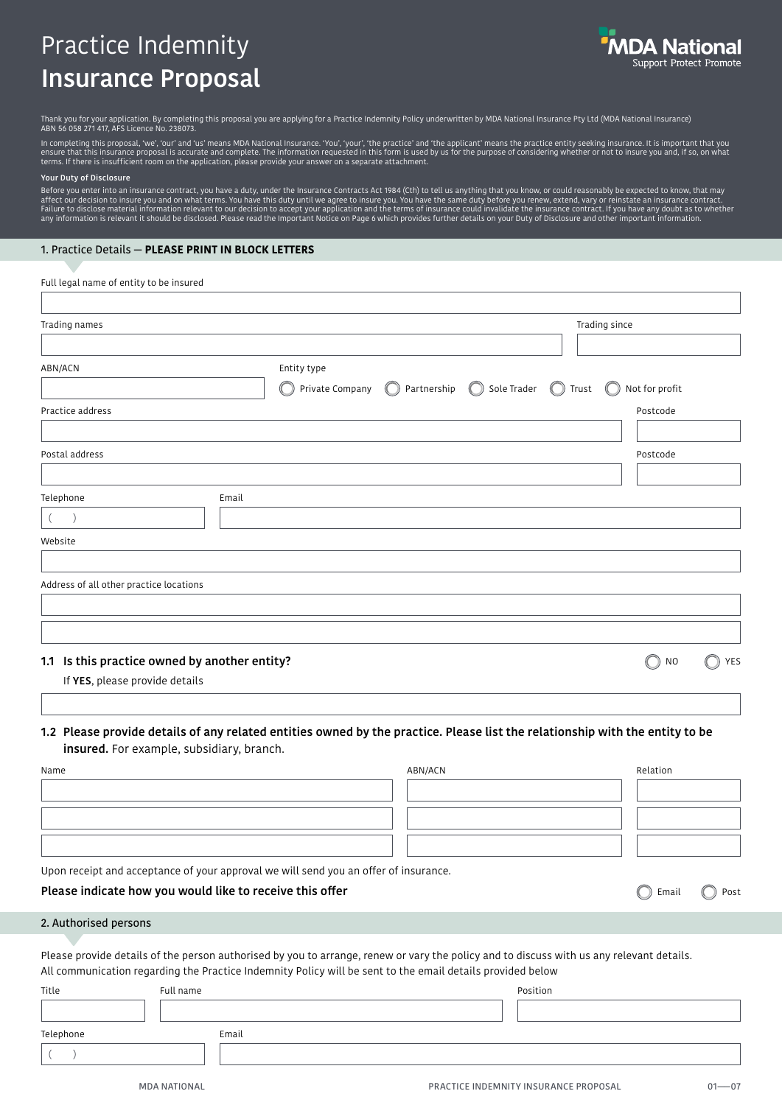# Practice Indemnity Insurance Proposal



Thank you for your application. By completing this proposal you are applying for a Practice Indemnity Policy underwritten by MDA National Insurance Pty Ltd (MDA National Insurance)<br>ABN 56 058 271 417, AFS Licence No. 23807

In completing this proposal, 'we', 'our' and 'us' means MDA National Insurance. 'You', 'your', 'the practice' and 'the applicant' means the practice entity seeking insurance. It is important that you<br>ensure that this insuf

#### Your Duty of Disclosure

Before you enter into an insurance contract, you have a duty, under the Insurance Contracts Act 1984 (Cth) to tell us anything that you know, or could reasonably be expected to know, that may<br>affect our decision to insure any information is relevant it should be disclosed. Please read the Important Notice on Page 6 which provides further details on your Duty of Disclosure and other important information.

#### 1. Practice Details — **PLEASE PRINT IN BLOCK LETTERS**

| Full legal name of entity to be insured                                                                                                                                   |                                |                                          |                                     |
|---------------------------------------------------------------------------------------------------------------------------------------------------------------------------|--------------------------------|------------------------------------------|-------------------------------------|
| Trading names                                                                                                                                                             |                                |                                          | Trading since                       |
| ABN/ACN                                                                                                                                                                   | Entity type<br>Private Company | $\bigcirc$<br>Partnership<br>Sole Trader | Not for profit<br>Trust             |
| Practice address                                                                                                                                                          |                                |                                          | Postcode                            |
| Postal address                                                                                                                                                            |                                |                                          | Postcode                            |
| Telephone<br>Email<br>$\rightarrow$<br>$\left($<br>Website                                                                                                                |                                |                                          |                                     |
| Address of all other practice locations                                                                                                                                   |                                |                                          |                                     |
| 1.1 Is this practice owned by another entity?<br>If YES, please provide details                                                                                           |                                |                                          | $\bigcirc$<br>N <sub>O</sub><br>YES |
| 1.2 Please provide details of any related entities owned by the practice. Please list the relationship with the entity to be<br>insured. For example, subsidiary, branch. |                                |                                          |                                     |
| Name                                                                                                                                                                      |                                | ABN/ACN                                  | Relation                            |
|                                                                                                                                                                           |                                |                                          |                                     |

Upon receipt and acceptance of your approval we will send you an offer of insurance.

#### Please indicate how you would like to receive this offer

#### 2. Authorised persons

Please provide details of the person authorised by you to arrange, renew or vary the policy and to discuss with us any relevant details. All communication regarding the Practice Indemnity Policy will be sent to the email details provided below

| Title     | Full name | Position |
|-----------|-----------|----------|
|           |           |          |
| Telephone | Email     |          |
|           |           |          |

Post

C Email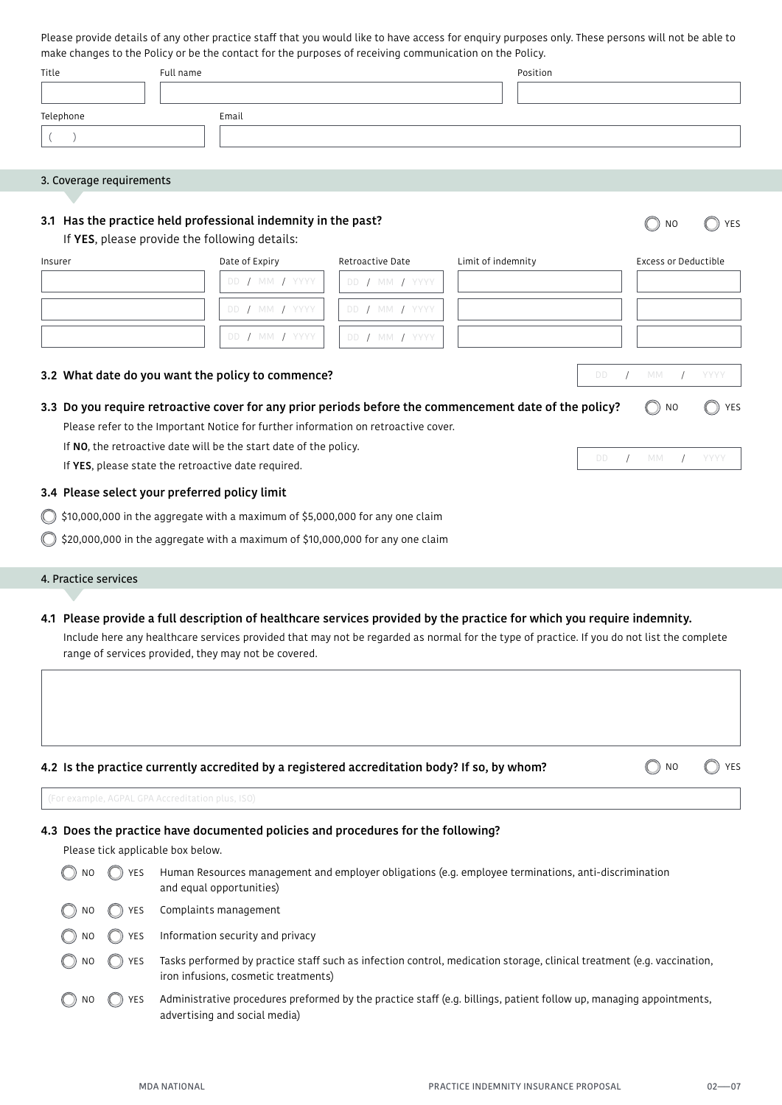Please provide details of any other practice staff that you would like to have access for enquiry purposes only. These persons will not be able to make changes to the Policy or be the contact for the purposes of receiving communication on the Policy.

| Title     | Full name | Position |
|-----------|-----------|----------|
|           |           |          |
| Telephone |           | Email    |
|           |           |          |

## 3. Coverage requirements

## 3.1 Has the practice held professional indemnity in the past?

If YES, please provide the following details:

| Insurer                                                                                                | Date of Expiry                                                                     | Retroactive Date | Limit of indemnity |     | Excess or Deductible |      |
|--------------------------------------------------------------------------------------------------------|------------------------------------------------------------------------------------|------------------|--------------------|-----|----------------------|------|
|                                                                                                        | DD / MM / YYYY                                                                     | DD / MM / YYYY   |                    |     |                      |      |
|                                                                                                        | DD / MM / YYYY                                                                     | DD / MM / YYYY   |                    |     |                      |      |
|                                                                                                        | DD / MM / YYYY                                                                     | DD / MM / YYYY   |                    |     |                      |      |
| 3.2 What date do you want the policy to commence?                                                      |                                                                                    |                  |                    | DD. | MM                   | YYYY |
| 3.3 Do you require retroactive cover for any prior periods before the commencement date of the policy? |                                                                                    |                  |                    |     | $()$ NO              | YES  |
|                                                                                                        | Please refer to the Important Notice for further information on retroactive cover. |                  |                    |     |                      |      |
|                                                                                                        | If NO, the retroactive date will be the start date of the policy.                  |                  |                    |     |                      |      |

If YES, please state the retroactive date required.

#### 3.4 Please select your preferred policy limit

 $\bigcirc$  \$10,000,000 in the aggregate with a maximum of \$5,000,000 for any one claim

 $\bigcirc$  \$20,000,000 in the aggregate with a maximum of \$10,000,000 for any one claim

#### 4. Practice services

#### 4.1 Please provide a full description of healthcare services provided by the practice for which you require indemnity.

Include here any healthcare services provided that may not be regarded as normal for the type of practice. If you do not list the complete range of services provided, they may not be covered.

## 4.2 Is the practice currently accredited by a registered accreditation body? If so, by whom?

O YES  $\bigcirc$  NO

O YES

 $\bigcirc$  NO

DD / MM / YYYY

## 4.3 Does the practice have documented policies and procedures for the following?

Please tick applicable box below.

| N <sub>O</sub>    | <b>YES</b> | Human Resources management and employer obligations (e.g. employee terminations, anti-discrimination<br>and equal opportunities)                               |
|-------------------|------------|----------------------------------------------------------------------------------------------------------------------------------------------------------------|
| $\binom{1}{2}$ NO | YES        | Complaints management                                                                                                                                          |
| $\bigcirc$ NO     | <b>YES</b> | Information security and privacy                                                                                                                               |
| NO                | <b>YES</b> | Tasks performed by practice staff such as infection control, medication storage, clinical treatment (e.g. vaccination,<br>iron infusions, cosmetic treatments) |
| N <sub>0</sub>    | YES        | Administrative procedures preformed by the practice staff (e.g. billings, patient follow up, managing appointments,<br>advertising and social media)           |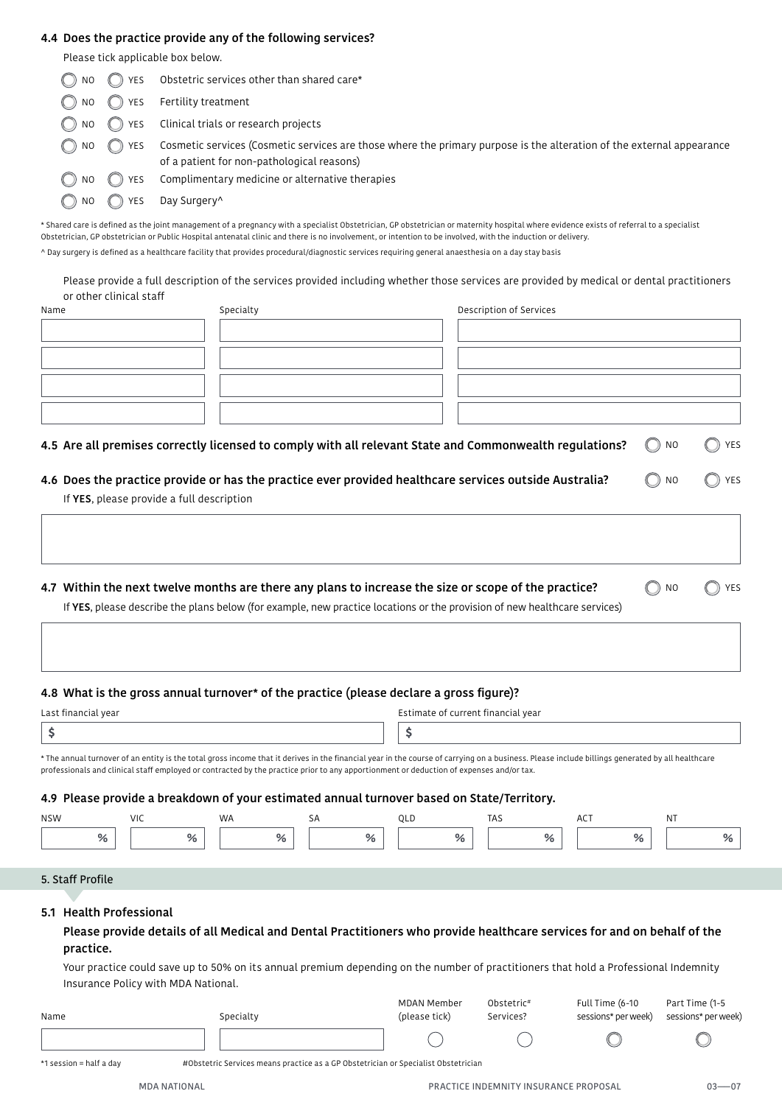## 4.4 Does the practice provide any of the following services?

Please tick applicable box below.

| NO                | ) YES                       | Obstetric services other than shared care*                                                                                                                          |
|-------------------|-----------------------------|---------------------------------------------------------------------------------------------------------------------------------------------------------------------|
| NO.               | YES                         | Fertility treatment                                                                                                                                                 |
| $\binom{1}{2}$ NO | ( ) YES                     | Clinical trials or research projects                                                                                                                                |
| $\binom{1}{2}$ NO | () YES                      | Cosmetic services (Cosmetic services are those where the primary purpose is the alteration of the external appearance<br>of a patient for non-pathological reasons) |
| NO                | $(\ulcorner \; \rceil)$ YES | Complimentary medicine or alternative therapies                                                                                                                     |
| NO.               | YES                         | Day Surgery <sup>^</sup>                                                                                                                                            |

\* Shared care is defined as the joint management of a pregnancy with a specialist Obstetrician, GP obstetrician or maternity hospital where evidence exists of referral to a specialist Obstetrician, GP obstetrician or Public Hospital antenatal clinic and there is no involvement, or intention to be involved, with the induction or delivery. ^ Day surgery is defined as a healthcare facility that provides procedural/diagnostic services requiring general anaesthesia on a day stay basis

Please provide a full description of the services provided including whether those services are provided by medical or dental practitioners or other clinical staff

| Name                                      | Specialty                                                                                                                 | Description of Services            |                                                                 |     |  |  |  |
|-------------------------------------------|---------------------------------------------------------------------------------------------------------------------------|------------------------------------|-----------------------------------------------------------------|-----|--|--|--|
|                                           |                                                                                                                           |                                    |                                                                 |     |  |  |  |
|                                           |                                                                                                                           |                                    |                                                                 |     |  |  |  |
|                                           |                                                                                                                           |                                    |                                                                 |     |  |  |  |
|                                           |                                                                                                                           |                                    |                                                                 |     |  |  |  |
|                                           |                                                                                                                           |                                    |                                                                 |     |  |  |  |
|                                           | 4.5 Are all premises correctly licensed to comply with all relevant State and Commonwealth regulations?                   |                                    | $\left( \begin{array}{c} \end{array} \right)$<br>N <sub>O</sub> | YES |  |  |  |
|                                           | 4.6 Does the practice provide or has the practice ever provided healthcare services outside Australia?                    |                                    | N <sub>O</sub>                                                  | YES |  |  |  |
| If YES, please provide a full description |                                                                                                                           |                                    |                                                                 |     |  |  |  |
|                                           |                                                                                                                           |                                    |                                                                 |     |  |  |  |
|                                           | 4.7 Within the next twelve months are there any plans to increase the size or scope of the practice?                      |                                    | (( ))<br>N <sub>O</sub>                                         | YES |  |  |  |
|                                           | If YES, please describe the plans below (for example, new practice locations or the provision of new healthcare services) |                                    |                                                                 |     |  |  |  |
|                                           |                                                                                                                           |                                    |                                                                 |     |  |  |  |
|                                           |                                                                                                                           |                                    |                                                                 |     |  |  |  |
|                                           | 4.8 What is the gross annual turnover* of the practice (please declare a gross figure)?                                   |                                    |                                                                 |     |  |  |  |
| Last financial year                       |                                                                                                                           | Estimate of current financial year |                                                                 |     |  |  |  |

| * The consid turns we of an entity is the total gross income that it derives in the financial vess is the course of corruing an a business. Please include billings concreted by all begittings. |  |
|--------------------------------------------------------------------------------------------------------------------------------------------------------------------------------------------------|--|

\* The annual turnover of an entity is the total gross income that it derives in the financial year in the course of carrying on a business. Please include billings generated by all healthcare professionals and clinical staff employed or contracted by the practice prior to any apportionment or deduction of expenses and/or tax.

## 4.9 Please provide a breakdown of your estimated annual turnover based on State/Territory.

| <b>NSW</b> | $\frac{1}{2}$<br>v 1 J | <b>WA</b> |    | ∼ | TAS. | $\Delta$ $\Gamma$ <sup><math>\tau</math></sup><br>٦U |  |
|------------|------------------------|-----------|----|---|------|------------------------------------------------------|--|
| 7ο         | %                      | .         | חי | . | $\%$ |                                                      |  |

## 5. Staff Profile

#### 5.1 Health Professional

Please provide details of all Medical and Dental Practitioners who provide healthcare services for and on behalf of the practice.

Your practice could save up to 50% on its annual premium depending on the number of practitioners that hold a Professional Indemnity Insurance Policy with MDA National.

| Name | Specialty | MDAN Member<br>(please tick) | Obstetric <sup>#</sup><br>Services? | Full Time (6-10<br>sessions* per week) | Part Time (1-5<br>sessions* per week) |
|------|-----------|------------------------------|-------------------------------------|----------------------------------------|---------------------------------------|
|      |           |                              |                                     |                                        |                                       |

\*1 session = half a day #Obstetric Services means practice as a GP Obstetrician or Specialist Obstetrician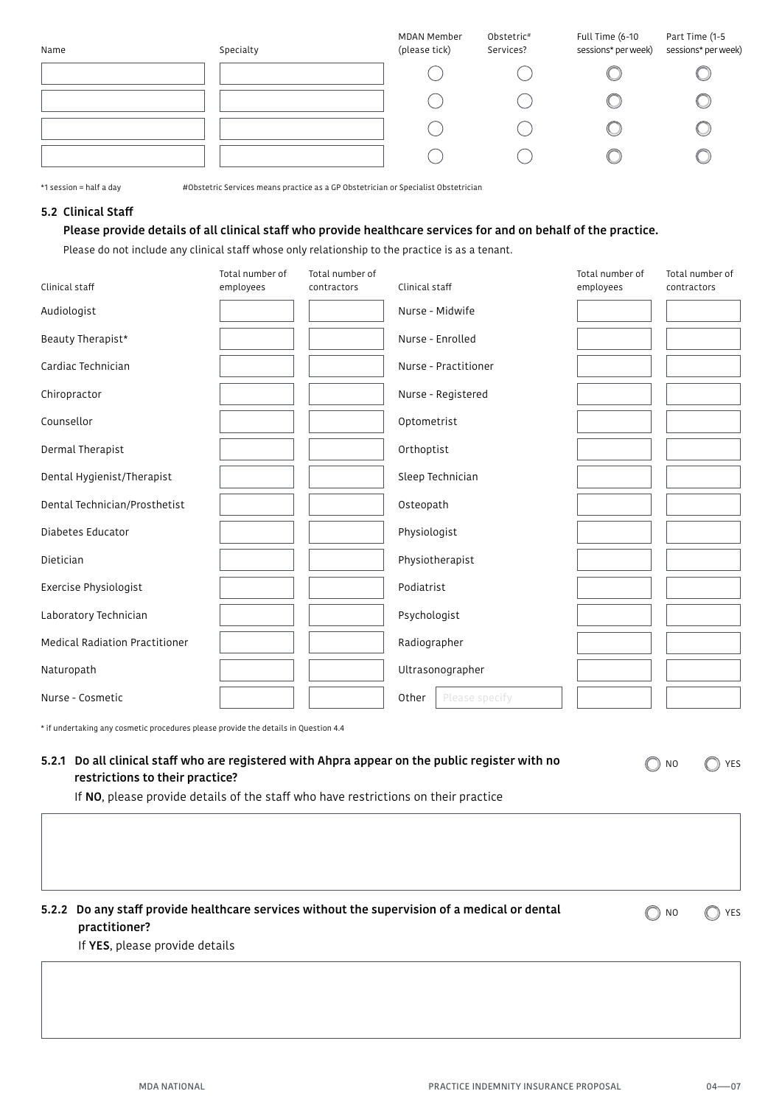| Name | Specialty | MDAN Member<br>(please tick) | Obstetric#<br>Services? | Full Time (6-10<br>sessions* per week) | Part Time (1-5<br>sessions* per week) |
|------|-----------|------------------------------|-------------------------|----------------------------------------|---------------------------------------|
|      |           |                              |                         |                                        |                                       |
|      |           |                              |                         |                                        |                                       |
|      |           |                              |                         |                                        |                                       |
|      |           |                              |                         |                                        |                                       |

\*1 session = half a day #Obstetric Services means practice as a GP Obstetrician or Specialist Obstetrician

## 5.2 Clinical Staff

## Please provide details of all clinical staff who provide healthcare services for and on behalf of the practice.

Please do not include any clinical staff whose only relationship to the practice is as a tenant.

| Clinical staff                        | Total number of<br>employees | Total number of<br>contractors | Clinical staff          | Total number of<br>employees | Total number of<br>contractors |
|---------------------------------------|------------------------------|--------------------------------|-------------------------|------------------------------|--------------------------------|
| Audiologist                           |                              |                                | Nurse - Midwife         |                              |                                |
| Beauty Therapist*                     |                              |                                | Nurse - Enrolled        |                              |                                |
| Cardiac Technician                    |                              |                                | Nurse - Practitioner    |                              |                                |
| Chiropractor                          |                              |                                | Nurse - Registered      |                              |                                |
| Counsellor                            |                              |                                | Optometrist             |                              |                                |
| Dermal Therapist                      |                              |                                | Orthoptist              |                              |                                |
| Dental Hygienist/Therapist            |                              |                                | Sleep Technician        |                              |                                |
| Dental Technician/Prosthetist         |                              |                                | Osteopath               |                              |                                |
| Diabetes Educator                     |                              |                                | Physiologist            |                              |                                |
| Dietician                             |                              |                                | Physiotherapist         |                              |                                |
| Exercise Physiologist                 |                              |                                | Podiatrist              |                              |                                |
| Laboratory Technician                 |                              |                                | Psychologist            |                              |                                |
| <b>Medical Radiation Practitioner</b> |                              |                                | Radiographer            |                              |                                |
| Naturopath                            |                              |                                | Ultrasonographer        |                              |                                |
| Nurse - Cosmetic                      |                              |                                | Other<br>Please specify |                              |                                |

\* if undertaking any cosmetic procedures please provide the details in Question 4.4

# 5.2.1 Do all clinical staff who are registered with Ahpra appear on the public register with no restrictions to their practice?

If NO, please provide details of the staff who have restrictions on their practice

# 5.2.2 Do any staff provide healthcare services without the supervision of a medical or dental practitioner?

O YES  $\bigcirc$  NO

 $\bigcirc$  NO

YES

If YES, please provide details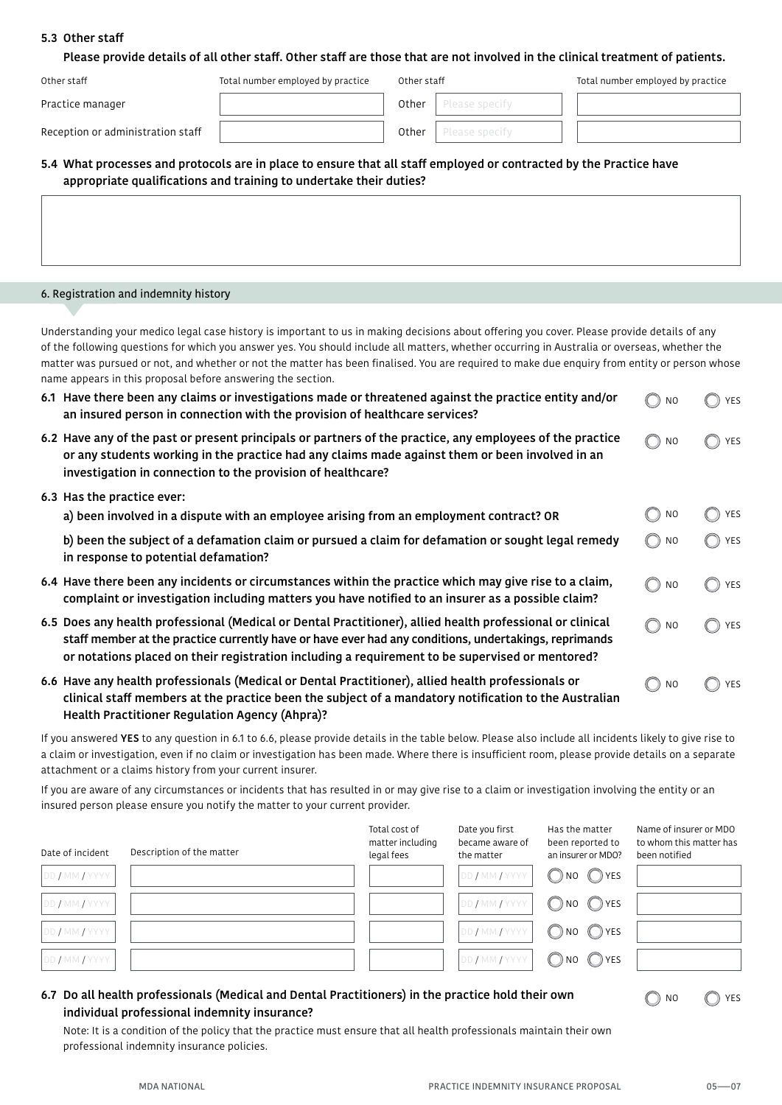## 5.3 Other staff

| Please provide details of all other staff. Other staff are those that are not involved in the clinical treatment of patients. |
|-------------------------------------------------------------------------------------------------------------------------------|
|-------------------------------------------------------------------------------------------------------------------------------|

| Other staff                       | Total number employed by practice | Other staff |                | Total number employed by practice |
|-----------------------------------|-----------------------------------|-------------|----------------|-----------------------------------|
| Practice manager                  |                                   | Other       | Please specify |                                   |
| Reception or administration staff |                                   | Other       | Please specify |                                   |

# 5.4 What processes and protocols are in place to ensure that all staff employed or contracted by the Practice have appropriate qualifications and training to undertake their duties?

#### 6. Registration and indemnity history

Understanding your medico legal case history is important to us in making decisions about offering you cover. Please provide details of any of the following questions for which you answer yes. You should include all matters, whether occurring in Australia or overseas, whether the matter was pursued or not, and whether or not the matter has been finalised. You are required to make due enquiry from entity or person whose name appears in this proposal before answering the section.

| 6.1 Have there been any claims or investigations made or threatened against the practice entity and/or<br>an insured person in connection with the provision of healthcare services?                                                                                                                                  | N <sub>0</sub>                               | YES               |
|-----------------------------------------------------------------------------------------------------------------------------------------------------------------------------------------------------------------------------------------------------------------------------------------------------------------------|----------------------------------------------|-------------------|
| 6.2 Have any of the past or present principals or partners of the practice, any employees of the practice<br>or any students working in the practice had any claims made against them or been involved in an<br>investigation in connection to the provision of healthcare?                                           | $\left( \bigcap_{i=1}^{n} a_i \right)$<br>NO | YES<br>$(\cap)$   |
| 6.3 Has the practice ever:                                                                                                                                                                                                                                                                                            |                                              |                   |
| a) been involved in a dispute with an employee arising from an employment contract? OR                                                                                                                                                                                                                                | NO.                                          | YES               |
| b) been the subject of a defamation claim or pursued a claim for defamation or sought legal remedy<br>in response to potential defamation?                                                                                                                                                                            | NO.                                          | YES<br>$\bigcirc$ |
| 6.4 Have there been any incidents or circumstances within the practice which may give rise to a claim,<br>complaint or investigation including matters you have notified to an insurer as a possible claim?                                                                                                           | N <sub>O</sub>                               | YES               |
| 6.5 Does any health professional (Medical or Dental Practitioner), allied health professional or clinical<br>staff member at the practice currently have or have ever had any conditions, undertakings, reprimands<br>or notations placed on their registration including a requirement to be supervised or mentored? | N <sub>O</sub>                               | YES               |
| 6.6 Have any health professionals (Medical or Dental Practitioner), allied health professionals or<br>clinical staff members at the practice been the subject of a mandatory notification to the Australian                                                                                                           | N <sub>O</sub>                               | YES               |

Health Practitioner Regulation Agency (Ahpra)?

If you answered YES to any question in 6.1 to 6.6, please provide details in the table below. Please also include all incidents likely to give rise to a claim or investigation, even if no claim or investigation has been made. Where there is insufficient room, please provide details on a separate attachment or a claims history from your current insurer.

If you are aware of any circumstances or incidents that has resulted in or may give rise to a claim or investigation involving the entity or an insured person please ensure you notify the matter to your current provider.

| Date of incident | Description of the matter | Total cost of<br>matter including<br>legal fees | Date you first<br>became aware of<br>the matter | Has the matter<br>been reported to<br>an insurer or MDO? | Name of insurer or MDO<br>to whom this matter has<br>been notified |
|------------------|---------------------------|-------------------------------------------------|-------------------------------------------------|----------------------------------------------------------|--------------------------------------------------------------------|
| DD / MM / YYYY   |                           |                                                 | DD / MM / YYYY                                  | ONO OYES                                                 |                                                                    |
| DD / MM / YYYY   |                           |                                                 | DD / MM / YYYY                                  | ONO OYES                                                 |                                                                    |
| DD / MM / YYYY   |                           |                                                 | DD / MM / YYYY                                  | ONO OYES                                                 |                                                                    |
| DD / MM / YYYY   |                           |                                                 | DD / MM / YYYY                                  | ONO OYES                                                 |                                                                    |

# 6.7 Do all health professionals (Medical and Dental Practitioners) in the practice hold their own individual professional indemnity insurance?

Note: It is a condition of the policy that the practice must ensure that all health professionals maintain their own professional indemnity insurance policies.

YES

 $\bigcirc$  no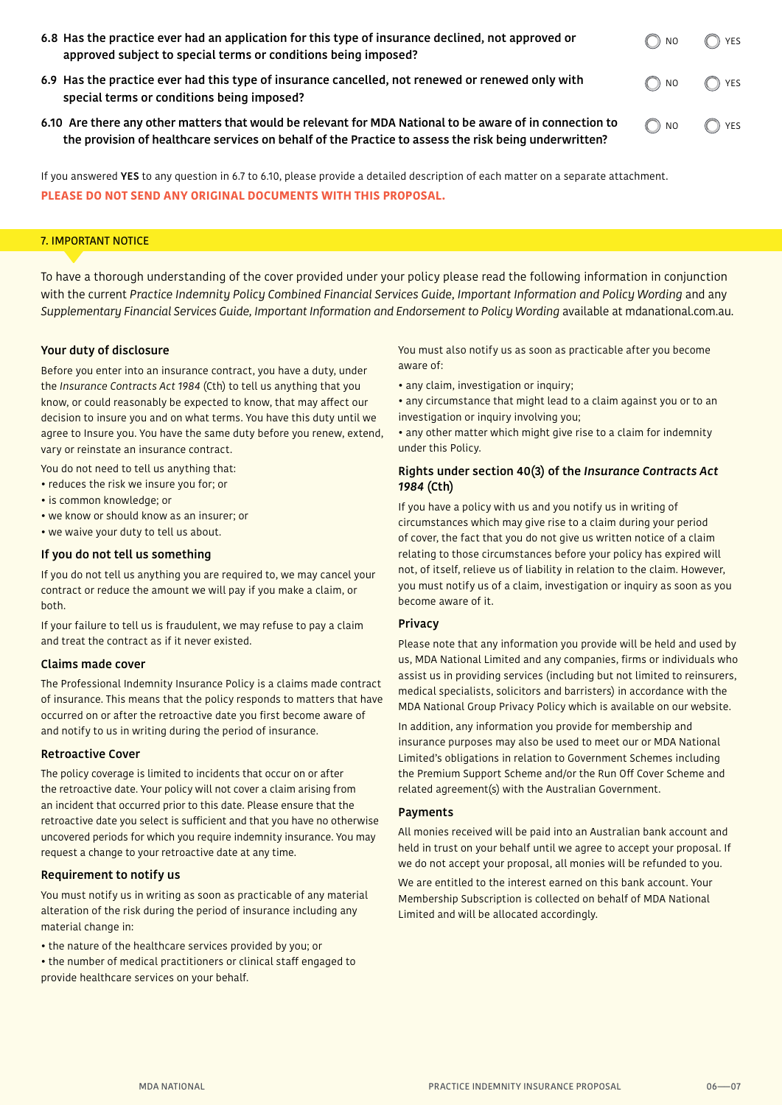| 6.8 Has the practice ever had an application for this type of insurance declined, not approved or<br>approved subject to special terms or conditions being imposed? | $\bigcirc$ NO                | ◯ YES |
|---------------------------------------------------------------------------------------------------------------------------------------------------------------------|------------------------------|-------|
| 6.9 Has the practice ever had this type of insurance cancelled, not renewed or renewed only with<br>special terms or conditions being imposed?                      | $\bigcirc$ NO $\bigcirc$ YES |       |

6.10 Are there any other matters that would be relevant for MDA National to be aware of in connection to the provision of healthcare services on behalf of the Practice to assess the risk being underwritten?

YES  $\bigcirc$  NO

If you answered YES to any question in 6.7 to 6.10, please provide a detailed description of each matter on a separate attachment. **PLEASE DO NOT SEND ANY ORIGINAL DOCUMENTS WITH THIS PROPOSAL.**

## 7. IMPORTANT NOTICE

To have a thorough understanding of the cover provided under your policy please read the following information in conjunction with the current *Practice Indemnity Policy Combined Financial Services Guide*, *Important Information and Policy Wording* and any *Supplementary Financial Services Guide, Important Information and Endorsement to Policy Wording* available at mdanational.com.au.

#### Your duty of disclosure

Before you enter into an insurance contract, you have a duty, under the *Insurance Contracts Act 1984* (Cth) to tell us anything that you know, or could reasonably be expected to know, that may affect our decision to insure you and on what terms. You have this duty until we agree to Insure you. You have the same duty before you renew, extend, vary or reinstate an insurance contract.

You do not need to tell us anything that:

- reduces the risk we insure you for; or
- is common knowledge; or
- we know or should know as an insurer; or
- we waive your duty to tell us about.

## If you do not tell us something

If you do not tell us anything you are required to, we may cancel your contract or reduce the amount we will pay if you make a claim, or both.

If your failure to tell us is fraudulent, we may refuse to pay a claim and treat the contract as if it never existed.

#### Claims made cover

The Professional Indemnity Insurance Policy is a claims made contract of insurance. This means that the policy responds to matters that have occurred on or after the retroactive date you first become aware of and notify to us in writing during the period of insurance.

#### Retroactive Cover

The policy coverage is limited to incidents that occur on or after the retroactive date. Your policy will not cover a claim arising from an incident that occurred prior to this date. Please ensure that the retroactive date you select is sufficient and that you have no otherwise uncovered periods for which you require indemnity insurance. You may request a change to your retroactive date at any time.

## Requirement to notify us

You must notify us in writing as soon as practicable of any material alteration of the risk during the period of insurance including any material change in:

- the nature of the healthcare services provided by you; or
- the number of medical practitioners or clinical staff engaged to provide healthcare services on your behalf.

You must also notify us as soon as practicable after you become aware of:

- any claim, investigation or inquiry;
- any circumstance that might lead to a claim against you or to an investigation or inquiry involving you;

• any other matter which might give rise to a claim for indemnity under this Policy.

## Rights under section 40(3) of the *Insurance Contracts Act 1984* (Cth)

If you have a policy with us and you notify us in writing of circumstances which may give rise to a claim during your period of cover, the fact that you do not give us written notice of a claim relating to those circumstances before your policy has expired will not, of itself, relieve us of liability in relation to the claim. However, you must notify us of a claim, investigation or inquiry as soon as you become aware of it.

## Privacy

Please note that any information you provide will be held and used by us, MDA National Limited and any companies, firms or individuals who assist us in providing services (including but not limited to reinsurers, medical specialists, solicitors and barristers) in accordance with the MDA National Group Privacy Policy which is available on our website.

In addition, any information you provide for membership and insurance purposes may also be used to meet our or MDA National Limited's obligations in relation to Government Schemes including the Premium Support Scheme and/or the Run Off Cover Scheme and related agreement(s) with the Australian Government.

#### Payments

All monies received will be paid into an Australian bank account and held in trust on your behalf until we agree to accept your proposal. If we do not accept your proposal, all monies will be refunded to you. We are entitled to the interest earned on this bank account. Your Membership Subscription is collected on behalf of MDA National Limited and will be allocated accordingly.